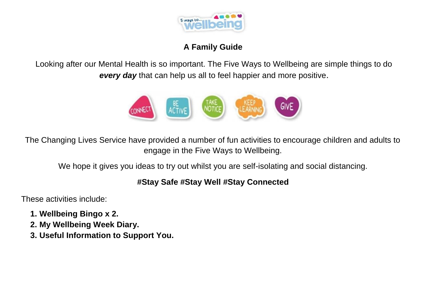

#### **A Family Guide**

Looking after our Mental Health is so important. The Five Ways to Wellbeing are simple things to do *every day* that can help us all to feel happier and more positive.



The Changing Lives Service have provided a number of fun activities to encourage children and adults to engage in the Five Ways to Wellbeing.

We hope it gives you ideas to try out whilst you are self-isolating and social distancing.

### **#Stay Safe #Stay Well #Stay Connected**

These activities include:

- **1. Wellbeing Bingo x 2.**
- **2. My Wellbeing Week Diary.**
- **3. Useful Information to Support You.**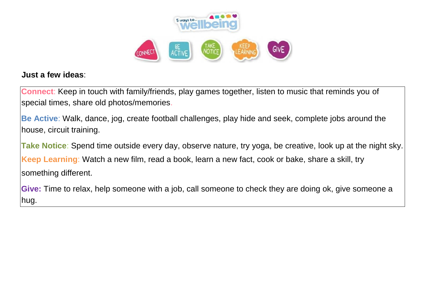

#### **Just a few ideas**:

**Connect**: Keep in touch with family/friends, play games together, listen to music that reminds you of special times, share old photos/memories.

**Be Active**: Walk, dance, jog, create football challenges, play hide and seek, complete jobs around the house, circuit training.

**Take Notice**: Spend time outside every day, observe nature, try yoga, be creative, look up at the night sky. **Keep Learning**: Watch a new film, read a book, learn a new fact, cook or bake, share a skill, try something different.

**Give:** Time to relax, help someone with a job, call someone to check they are doing ok, give someone a hug.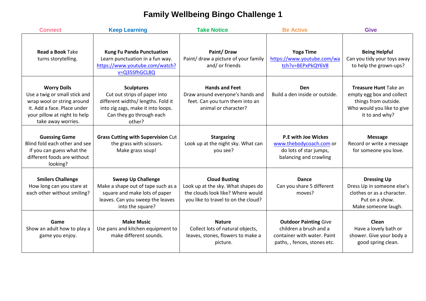# **Family Wellbeing Bingo Challenge 1**

| <b>Connect</b>                                                                                                                                                         | <b>Keep Learning</b>                                                                                                                                                | <b>Take Notice</b>                                                                                                                     | <b>Be Active</b>                                                                                                      | <b>Give</b>                                                                                                                |
|------------------------------------------------------------------------------------------------------------------------------------------------------------------------|---------------------------------------------------------------------------------------------------------------------------------------------------------------------|----------------------------------------------------------------------------------------------------------------------------------------|-----------------------------------------------------------------------------------------------------------------------|----------------------------------------------------------------------------------------------------------------------------|
| <b>Read a Book Take</b><br>turns storytelling.                                                                                                                         | <b>Kung Fu Panda Punctuation</b><br>Learn punctuation in a fun way.<br>https://www.youtube.com/watch?<br>v=Q35SfhGCL8Q                                              | Paint/Draw<br>Paint/ draw a picture of your family<br>and/ or friends                                                                  | <b>Yoga Time</b><br>https://www.youtube.com/wa<br>tch?v=BEPxPkQY6V8                                                   | <b>Being Helpful</b><br>Can you tidy your toys away<br>to help the grown-ups?                                              |
| <b>Worry Dolls</b><br>Use a twig or small stick and<br>wrap wool or string around<br>it. Add a face. Place under<br>your pillow at night to help<br>take away worries. | <b>Sculptures</b><br>Cut out strips of paper into<br>different widths/ lengths. Fold it<br>into zig zags, make it into loops.<br>Can they go through each<br>other? | <b>Hands and Feet</b><br>Draw around everyone's hands and<br>feet. Can you turn them into an<br>animal or character?                   | Den<br>Build a den inside or outside.                                                                                 | Treasure Hunt Take an<br>empty egg box and collect<br>things from outside.<br>Who would you like to give<br>it to and why? |
| <b>Guessing Game</b><br>Blind fold each other and see<br>if you can guess what the<br>different foods are without<br>looking?                                          | <b>Grass Cutting with Supervision Cut</b><br>the grass with scissors.<br>Make grass soup!                                                                           | <b>Stargazing</b><br>Look up at the night sky. What can<br>you see?                                                                    | <b>P.E with Joe Wickes</b><br>www.thebodycoach.com or<br>do lots of star jumps,<br>balancing and crawling             | <b>Message</b><br>Record or write a message<br>for someone you love.                                                       |
| <b>Smilers Challenge</b><br>How long can you stare at<br>each other without smiling?                                                                                   | <b>Sweep Up Challenge</b><br>Make a shape out of tape such as a<br>square and make lots of paper<br>leaves. Can you sweep the leaves<br>into the square?            | <b>Cloud Busting</b><br>Look up at the sky. What shapes do<br>the clouds look like? Where would<br>you like to travel to on the cloud? | <b>Dance</b><br>Can you share 5 different<br>moves?                                                                   | <b>Dressing Up</b><br>Dress Up in someone else's<br>clothes or as a character.<br>Put on a show.<br>Make someone laugh.    |
| Game<br>Show an adult how to play a<br>game you enjoy.                                                                                                                 | <b>Make Music</b><br>Use pans and kitchen equipment to<br>make different sounds.                                                                                    | <b>Nature</b><br>Collect lots of natural objects,<br>leaves, stones, flowers to make a<br>picture.                                     | <b>Outdoor Painting Give</b><br>children a brush and a<br>container with water. Paint<br>paths, , fences, stones etc. | Clean<br>Have a lovely bath or<br>shower. Give your body a<br>good spring clean.                                           |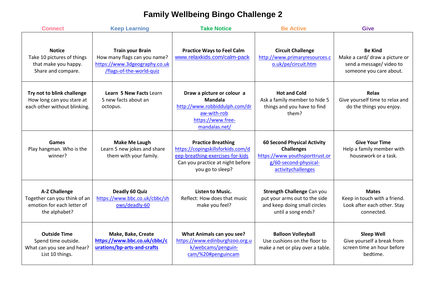## **Family Wellbeing Bingo Challenge 2**

| <b>Connect</b>                                                                                      | <b>Keep Learning</b>                                                                                                 | <b>Take Notice</b>                                                                                                                                         | <b>Be Active</b>                                                                                                                         | <b>Give</b>                                                                                            |
|-----------------------------------------------------------------------------------------------------|----------------------------------------------------------------------------------------------------------------------|------------------------------------------------------------------------------------------------------------------------------------------------------------|------------------------------------------------------------------------------------------------------------------------------------------|--------------------------------------------------------------------------------------------------------|
| <b>Notice</b><br>Take 10 pictures of things<br>that make you happy.<br>Share and compare.           | <b>Train your Brain</b><br>How many flags can you name?<br>https://www.3dgeography.co.uk<br>/flags-of-the-world-quiz | <b>Practice Ways to Feel Calm</b><br>www.relaxkids.com/calm-pack                                                                                           | <b>Circuit Challenge</b><br>http://www.primaryresources.c<br>o.uk/pe/circuit.htm                                                         | <b>Be Kind</b><br>Make a card/ draw a picture or<br>send a message/video to<br>someone you care about. |
| Try not to blink challenge<br>How long can you stare at<br>each other without blinking.             | Learn 5 New Facts Learn<br>5 new facts about an<br>octopus.                                                          | Draw a picture or colour a<br><b>Mandala</b><br>http://www.robbiddulph.com/dr<br>aw-with-rob<br>https://www.free-<br>mandalas.net/                         | <b>Hot and Cold</b><br>Ask a family member to hide 5<br>things and you have to find<br>them?                                             | Relax<br>Give yourself time to relax and<br>do the things you enjoy.                                   |
| Games<br>Play hangman. Who is the<br>winner?                                                        | Make Me Laugh<br>Learn 5 new jokes and share<br>them with your family.                                               | <b>Practice Breathing</b><br>https://copingskillsforkids.com/d<br>eep-breathing-exercises-for-kids<br>Can you practice at night before<br>you go to sleep? | <b>60 Second Physical Activity</b><br><b>Challenges</b><br>https://www.youthsporttrust.or<br>g/60-second-physical-<br>activitychallenges | <b>Give Your Time</b><br>Help a family member with<br>housework or a task.                             |
| <b>A-Z Challenge</b><br>Together can you think of an<br>emotion for each letter of<br>the alphabet? | Deadly 60 Quiz<br>https://www.bbc.co.uk/cbbc/sh<br>ows/deadly-60                                                     | <b>Listen to Music.</b><br>Reflect: How does that music<br>make you feel?                                                                                  | <b>Strength Challenge Can you</b><br>put your arms out to the side<br>and keep doing small circles<br>until a song ends?                 | <b>Mates</b><br>Keep in touch with a friend.<br>Look after each other. Stay<br>connected.              |
| <b>Outside Time</b><br>Spend time outside.<br>What can you see and hear?<br>List 10 things.         | Make, Bake, Create<br>https://www.bbc.co.uk/cbbc/c<br>urations/bp-arts-and-crafts                                    | What Animals can you see?<br>https://www.edinburghzoo.org.u<br>k/webcams/penguin-<br>cam/%20#penguincam                                                    | <b>Balloon Volleyball</b><br>Use cushions on the floor to<br>make a net or play over a table.                                            | <b>Sleep Well</b><br>Give yourself a break from<br>screen time an hour before<br>bedtime.              |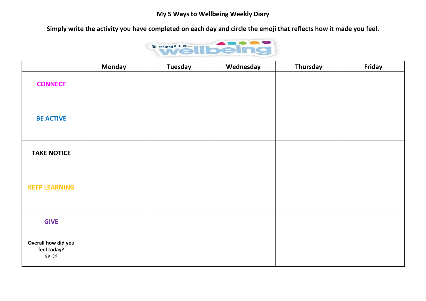**Simply write the activity you have completed on each day and circle the emoji that reflects how it made you feel.** 



|                                                       | <b>Monday</b> | <b>Tuesday</b> | Wednesday | Thursday | Friday |
|-------------------------------------------------------|---------------|----------------|-----------|----------|--------|
| <b>CONNECT</b>                                        |               |                |           |          |        |
| <b>BE ACTIVE</b>                                      |               |                |           |          |        |
| <b>TAKE NOTICE</b>                                    |               |                |           |          |        |
| <b>KEEP LEARNING</b>                                  |               |                |           |          |        |
| <b>GIVE</b>                                           |               |                |           |          |        |
| Overall how did you<br>feel today?<br>$\odot$ $\odot$ |               |                |           |          |        |